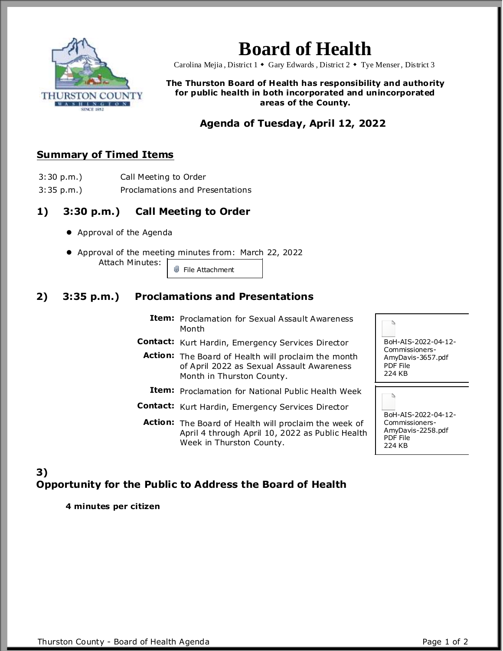

# **Board of Health**

Carolina Mejia, District 1  $\bullet$  Gary Edwards, District 2  $\bullet$  Tye Menser, District 3

#### **The Thurston Board of Health has responsibility and authority for public health in both incorporated and unincorporated areas of the County.**

## **Agenda of Tuesday, April 12, 2022**

#### **Summary of Timed Items**

- 3:30 p.m.) Call Meeting to Order
- 
- 3:35 p.m.) Proclamations and Presentations

#### **1) 3:30 p.m.) Call Meeting to Order**

- Approval of the Agenda
- Approval of the meeting minutes from: March 22, 2022 Attach Minutes: File Attachment

#### **2) 3:35 p.m.) Proclamations and Presentations**

- **Item:** Proclamation for Sexual Assault Awareness Month
- **Contact:** Kurt Hardin, Emergency Services Director
	- **Action:** The Board of Health will proclaim the month of April 2022 as Sexual Assault Awareness Month in Thurston County.

**Item:** Proclamation for National Public Health Week

**Contact:** Kurt Hardin, Emergency Services Director

**Action:** The Board of Health will proclaim the week of April 4 through April 10, 2022 as Public Health Week in Thurston County.

BoH-AIS-2022-04-12- Commissioners-AmyDavis-3657.pdf PDF File 224 KB

Ъ

Ъ

BoH-AIS-2022-04-12- Commissioners-AmyDavis-2258.pdf PDF File 224 KB

### **3) Opportunity for the Public to Address the Board of Health**

**4 minutes per citizen**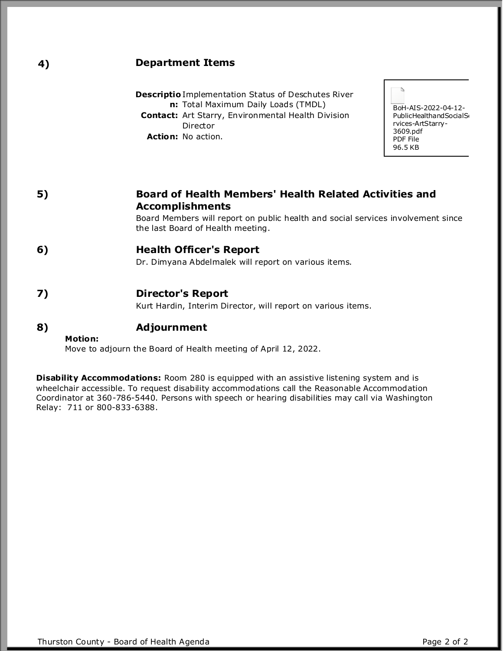| 4) | <b>Department Items</b>                                                                                                                                                                                                                                                                                          |
|----|------------------------------------------------------------------------------------------------------------------------------------------------------------------------------------------------------------------------------------------------------------------------------------------------------------------|
|    | <b>Descriptio</b> Implementation Status of Deschutes River<br>n: Total Maximum Daily Loads (TMDL)<br>BoH-AIS-2022-04-12-<br><b>Contact:</b> Art Starry, Environmental Health Division<br>PublicHealthandSocialS<br>rvices-ArtStarry-<br>Director<br>3609.pdf<br>Action: No action.<br><b>PDF File</b><br>96.5 KB |
| 5) | <b>Board of Health Members' Health Related Activities and</b><br><b>Accomplishments</b>                                                                                                                                                                                                                          |
|    | Board Members will report on public health and social services involvement since<br>the last Board of Health meeting.                                                                                                                                                                                            |
| 6) | <b>Health Officer's Report</b><br>Dr. Dimyana Abdelmalek will report on various items.                                                                                                                                                                                                                           |
| 7) | <b>Director's Report</b>                                                                                                                                                                                                                                                                                         |
| 8) | Kurt Hardin, Interim Director, will report on various items.<br><b>Adjournment</b>                                                                                                                                                                                                                               |
|    | Motion:<br>Move to adjourn the Board of Health meeting of April 12, 2022.                                                                                                                                                                                                                                        |

**Disability Accommodations:** Room 280 is equipped with an assistive listening system and is wheelchair accessible. To request disability accommodations call the Reasonable Accommodation Coordinator at 360-786-5440. Persons with speech or hearing disabilities may call via Washington Relay: 711 or 800-833-6388.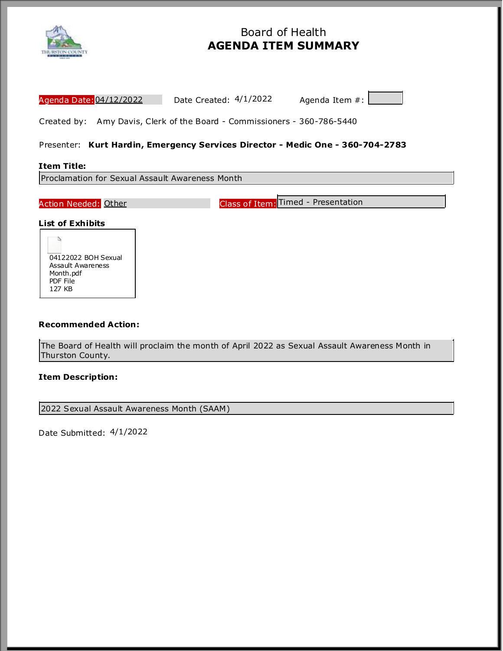

## Board of Health **AGENDA ITEM SUMMARY**

| Agenda Date: 04/12/2022<br>Date Created: 4/1/2022<br>Agenda Item #:                                                                  |
|--------------------------------------------------------------------------------------------------------------------------------------|
| Created by: Amy Davis, Clerk of the Board - Commissioners - 360-786-5440                                                             |
| Presenter: Kurt Hardin, Emergency Services Director - Medic One - 360-704-2783                                                       |
| <b>Item Title:</b>                                                                                                                   |
| Proclamation for Sexual Assault Awareness Month                                                                                      |
| Class of Item: Timed - Presentation<br>Action Needed: Other                                                                          |
| <b>List of Exhibits</b><br>04122022 BOH Sexual<br>Assault Awareness<br>Month.pdf<br>PDF File<br>127 KB<br><b>Recommended Action:</b> |
| The Board of Health will proclaim the month of April 2022 as Sexual Assault Awareness Month in<br>Thurston County.                   |
| <b>Item Description:</b>                                                                                                             |
| 2022 Sexual Assault Awareness Month (SAAM)                                                                                           |

Date Submitted: 4/1/2022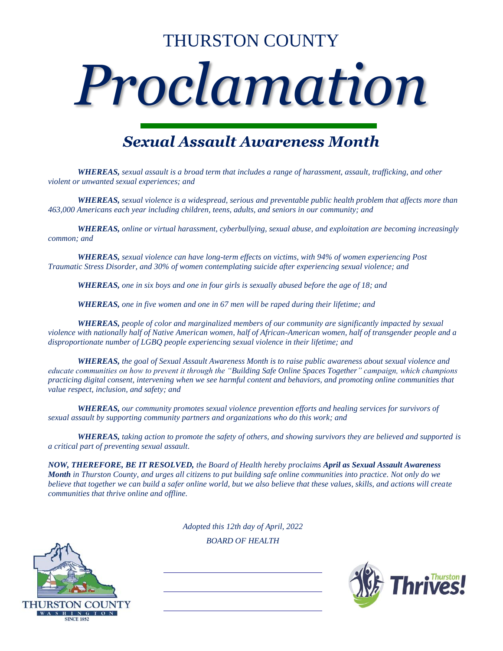# THURSTON COUNTY



## *Sexual Assault Awareness Month*

*WHEREAS, sexual assault is a broad term that includes a range of harassment, assault, trafficking, and other violent or unwanted sexual experiences; and*

*WHEREAS, sexual violence is a widespread, serious and preventable public health problem that affects more than 463,000 Americans each year including children, teens, adults, and seniors in our community; and*

*WHEREAS, online or virtual harassment, cyberbullying, sexual abuse, and exploitation are becoming increasingly common; and*

*WHEREAS, sexual violence can have long-term effects on victims, with 94% of women experiencing Post Traumatic Stress Disorder, and 30% of women contemplating suicide after experiencing sexual violence; and* 

*WHEREAS, one in six boys and one in four girls is sexually abused before the age of 18; and*

*WHEREAS, one in five women and one in 67 men will be raped during their lifetime; and*

*WHEREAS, people of color and marginalized members of our community are significantly impacted by sexual violence with nationally half of Native American women, half of African-American women, half of transgender people and a disproportionate number of LGBQ people experiencing sexual violence in their lifetime; and*

*WHEREAS, the goal of Sexual Assault Awareness Month is to raise public awareness about sexual violence and educate communities on how to prevent it through the "Building Safe Online Spaces Together" campaign, which champions practicing digital consent, intervening when we see harmful content and behaviors, and promoting online communities that value respect, inclusion, and safety; and*

*WHEREAS, our community promotes sexual violence prevention efforts and healing services for survivors of sexual assault by supporting community partners and organizations who do this work; and*

*WHEREAS, taking action to promote the safety of others, and showing survivors they are believed and supported is a critical part of preventing sexual assault.*

*NOW, THEREFORE, BE IT RESOLVED, the Board of Health hereby proclaims April as Sexual Assault Awareness Month in Thurston County, and urges all citizens to put building safe online communities into practice. Not only do we believe that together we can build a safer online world, but we also believe that these values, skills, and actions will create communities that thrive online and offline.*

*Adopted this 12th day of April, 2022*

*BOARD OF HEALTH*



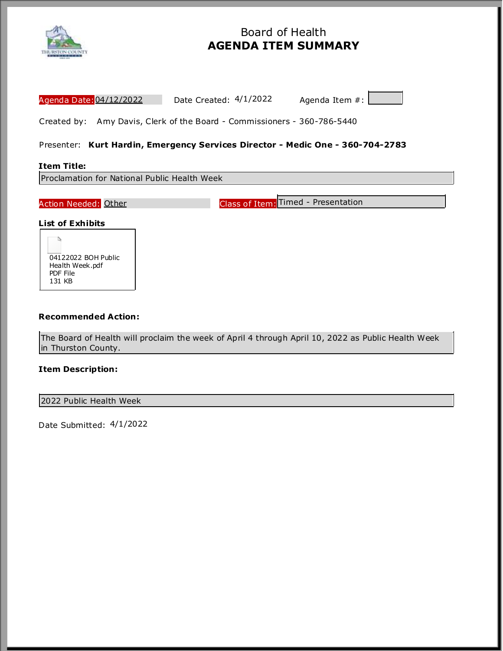

## Board of Health **AGENDA ITEM SUMMARY**

| Agenda Date: 04/12/2022<br>Date Created: 4/1/2022<br>Agenda Item #:                                                       |
|---------------------------------------------------------------------------------------------------------------------------|
| Created by: Amy Davis, Clerk of the Board - Commissioners - 360-786-5440                                                  |
| Presenter: Kurt Hardin, Emergency Services Director - Medic One - 360-704-2783                                            |
| <b>Item Title:</b>                                                                                                        |
| Proclamation for National Public Health Week                                                                              |
|                                                                                                                           |
| Class of Item: Timed - Presentation<br>Action Needed: Other                                                               |
| <b>List of Exhibits</b><br>04122022 BOH Public<br>Health Week.pdf<br>PDF File<br>131 KB                                   |
| <b>Recommended Action:</b>                                                                                                |
| The Board of Health will proclaim the week of April 4 through April 10, 2022 as Public Health Week<br>in Thurston County. |
| <b>Item Description:</b>                                                                                                  |

2022 Public Health Week

Date Submitted: 4/1/2022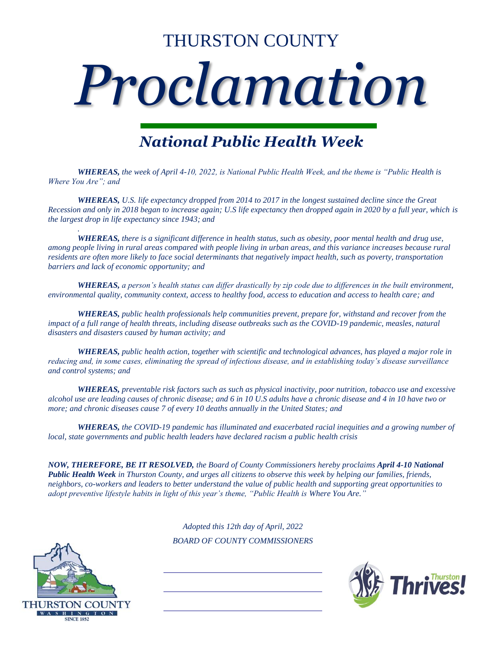# THURSTON COUNTY

# *Proclamation*

# *National Public Health Week*

*WHEREAS, the week of April 4-10, 2022, is National Public Health Week, and the theme is "Public Health is Where You Are"; and*

*WHEREAS, U.S. life expectancy dropped from 2014 to 2017 in the longest sustained decline since the Great Recession and only in 2018 began to increase again; U.S life expectancy then dropped again in 2020 by a full year, which is the largest drop in life expectancy since 1943; and*

*WHEREAS, there is a significant difference in health status, such as obesity, poor mental health and drug use, among people living in rural areas compared with people living in urban areas, and this variance increases because rural residents are often more likely to face social determinants that negatively impact health, such as poverty, transportation barriers and lack of economic opportunity; and* 

*WHEREAS, a person's health status can differ drastically by zip code due to differences in the built environment, environmental quality, community context, access to healthy food, access to education and access to health care; and*

*WHEREAS, public health professionals help communities prevent, prepare for, withstand and recover from the impact of a full range of health threats, including disease outbreaks such as the COVID-19 pandemic, measles, natural disasters and disasters caused by human activity; and*

*WHEREAS, public health action, together with scientific and technological advances, has played a major role in reducing and, in some cases, eliminating the spread of infectious disease, and in establishing today's disease surveillance and control systems; and*

*WHEREAS, preventable risk factors such as such as physical inactivity, poor nutrition, tobacco use and excessive alcohol use are leading causes of chronic disease; and 6 in 10 U.S adults have a chronic disease and 4 in 10 have two or more; and chronic diseases cause 7 of every 10 deaths annually in the United States; and*

*WHEREAS, the COVID-19 pandemic has illuminated and exacerbated racial inequities and a growing number of local, state governments and public health leaders have declared racism a public health crisis*

*NOW, THEREFORE, BE IT RESOLVED, the Board of County Commissioners hereby proclaims April 4-10 National Public Health Week in Thurston County, and urges all citizens to observe this week by helping our families, friends, neighbors, co-workers and leaders to better understand the value of public health and supporting great opportunities to adopt preventive lifestyle habits in light of this year's theme, "Public Health is Where You Are."*

*Adopted this 12th day of April, 2022*

*BOARD OF COUNTY COMMISSIONERS*



*.*